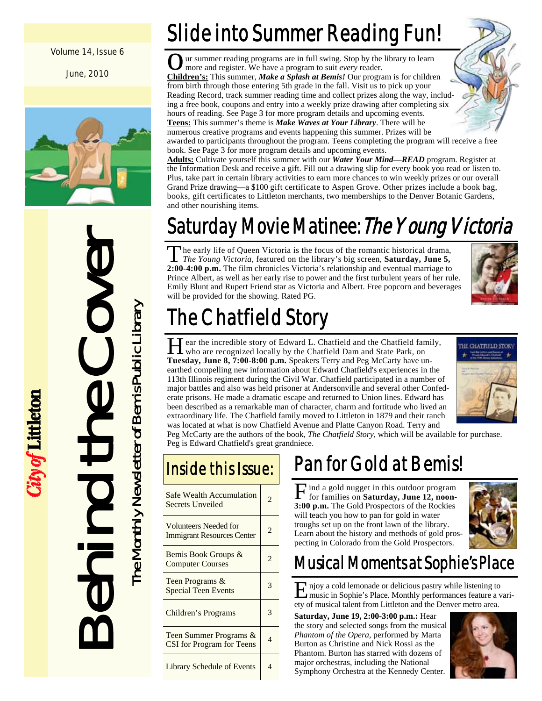#### Volume 14, Issue 6

June, 2010



# Behind the Cover The Monthly Newsletter of Bemis Public Library The Monthly Newsletter of Bemis Public Library

City of Littleton

# Slide into Summer Reading Fun!

ur summer reading programs are in full swing. Stop by the library to learn more and register. We have a program to suit *every* reader.

**Children's:** This summer, *Make a Splash at Bemis!* Our program is for children from birth through those entering 5th grade in the fall. Visit us to pick up your Reading Record, track summer reading time and collect prizes along the way, including a free book, coupons and entry into a weekly prize drawing after completing six hours of reading. See Page 3 for more program details and upcoming events. **Teens:** This summer's theme is *Make Waves at Your Library*. There will be



**Adults:** Cultivate yourself this summer with our *Water Your Mind—READ* program. Register at the Information Desk and receive a gift. Fill out a drawing slip for every book you read or listen to. Plus, take part in certain library activities to earn more chances to win weekly prizes or our overall Grand Prize drawing—a \$100 gift certificate to Aspen Grove. Other prizes include a book bag, books, gift certificates to Littleton merchants, two memberships to the Denver Botanic Gardens, and other nourishing items.

## Saturday Movie Matinee: The Young Victoria

T he early life of Queen Victoria is the focus of the romantic historical drama, *The Young Victoria*, featured on the library's big screen, **Saturday, June 5, 2:00-4:00 p.m.** The film chronicles Victoria's relationship and eventual marriage to Prince Albert, as well as her early rise to power and the first turbulent years of her rule. Emily Blunt and Rupert Friend star as Victoria and Albert. Free popcorn and beverages will be provided for the showing. Rated PG.



# The Chatfield Story

H ear the incredible story of Edward L. Chatfield and the Chatfield family, who are recognized locally by the Chatfield Dam and State Park, on **Tuesday, June 8, 7:00-8:00 p.m.** Speakers Terry and Peg McCarty have unearthed compelling new information about Edward Chatfield's experiences in the 113th Illinois regiment during the Civil War. Chatfield participated in a number of major battles and also was held prisoner at Andersonville and several other Confederate prisons. He made a dramatic escape and returned to Union lines. Edward has been described as a remarkable man of character, charm and fortitude who lived an extraordinary life. The Chatfield family moved to Littleton in 1879 and their ranch was located at what is now Chatfield Avenue and Platte Canyon Road. Terry and



Peg McCarty are the authors of the book, *The Chatfield Story*, which will be available for purchase. Peg is Edward Chatfield's great grandniece.

## Inside this Issue:

| <b>Safe Wealth Accumulation</b><br>Secrets Unveiled               |   |
|-------------------------------------------------------------------|---|
| <b>Volunteers Needed for</b><br><b>Immigrant Resources Center</b> | 2 |
| Bemis Book Groups &<br><b>Computer Courses</b>                    |   |
| Teen Programs &<br><b>Special Teen Events</b>                     | 3 |
| <b>Children's Programs</b>                                        |   |
| Teen Summer Programs &<br><b>CSI</b> for Program for Teens        | 4 |
| <b>Library Schedule of Events</b>                                 |   |

## Pan for Gold at Bemis!

F ind a gold nugget in this outdoor program for families on **Saturday, June 12, noon-3:00 p.m.** The Gold Prospectors of the Rockies will teach you how to pan for gold in water troughs set up on the front lawn of the library. Learn about the history and methods of gold prospecting in Colorado from the Gold Prospectors.



## Musical Moments at Sophie's Place

E njoy a cold lemonade or delicious pastry while listening to<br>music in Sophia's Place Martin 1 music in Sophie's Place. Monthly performances feature a variety of musical talent from Littleton and the Denver metro area.

**Saturday, June 19, 2:00-3:00 p.m.:** Hear the story and selected songs from the musical *Phantom of the Opera*, performed by Marta Burton as Christine and Nick Rossi as the Phantom. Burton has starred with dozens of major orchestras, including the National Symphony Orchestra at the Kennedy Center.

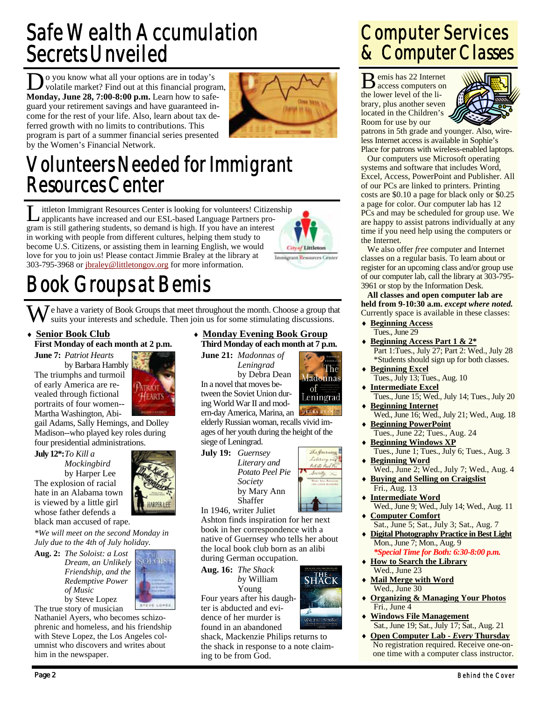## Safe Wealth Accumulation Secrets Unveiled

D o you know what all your options are in today's volatile market? Find out at this financial program, **Monday, June 28, 7:00-8:00 p.m.** Learn how to safeguard your retirement savings and have guaranteed income for the rest of your life. Also, learn about tax deferred growth with no limits to contributions. This program is part of a summer financial series presented by the Women's Financial Network.



## Volunteers Needed for Immigrant Resources Center

ittleton Immigrant Resources Center is looking for volunteers! Citizenship applicants have increased and our ESL-based Language Partners program is still gathering students, so demand is high. If you have an interest in working with people from different cultures, helping them study to become U.S. Citizens, or assisting them in learning English, we would love for you to join us! Please contact Jimmie Braley at the library at 303-795-3968 or jbraley@littletongov.org for more information.

**FEART** 



# Book Groups at Bemis

 $M$  e have a variety of Book Groups that meet throughout the month. Choose a group that suits your interests and schedule. Then join us for some stimulating discussions.

♦ **Senior Book Club First Monday of each month at 2 p.m.** 

**June 7:** *Patriot Hearts*  by Barbara Hambly

The triumphs and turmoil of early America are revealed through fictional portraits of four women-- Martha Washington, Abi-

gail Adams, Sally Hemings, and Dolley Madison--who played key roles during four presidential administrations.

#### **July 12\*:** *To Kill a Mockingbird*  by Harper Lee The explosion of racial hate in an Alabama town is viewed by a little girl



*\*We will meet on the second Monday in July due to the 4th of July holiday.* 



Nathaniel Ayers, who becomes schizophrenic and homeless, and his friendship with Steve Lopez, the Los Angeles columnist who discovers and writes about him in the newspaper.

## ♦ **Monday Evening Book Group Third Monday of each month at 7 p.m.**

**June 21:** *Madonnas of* 

 *Leningrad*  by Debra Dean In a novel that moves between the Soviet Union during World War II and modern-day America, Marina, an

elderly Russian woman, recalls vivid images of her youth during the height of the siege of Leningrad.

**July 19:** *Guernsey Literary and Potato Peel Pie Society* by Mary Ann **Shaffer** 



**SHACK** 

The Madonnas of

Leningrad DEBRADI

In 1946, writer Juliet

Ashton finds inspiration for her next book in her correspondence with a native of Guernsey who tells her about the local book club born as an alibi during German occupation.

**Aug. 16:** *The Shack b*y William Young Four years after his daughter is abducted and evi-

dence of her murder is found in an abandoned

shack, Mackenzie Philips returns to the shack in response to a note claiming to be from God.

## Computer Services & Computer Classes

B emis has 22 Internet access computers on the lower level of the library, plus another seven located in the Children's Room for use by our



patrons in 5th grade and younger. Also, wireless Internet access is available in Sophie's Place for patrons with wireless-enabled laptops.

 Our computers use Microsoft operating systems and software that includes Word, Excel, Access, PowerPoint and Publisher. All of our PCs are linked to printers. Printing costs are \$0.10 a page for black only or \$0.25 a page for color. Our computer lab has 12 PCs and may be scheduled for group use. We are happy to assist patrons individually at any time if you need help using the computers or the Internet.

 We also offer *free* computer and Internet classes on a regular basis. To learn about or register for an upcoming class and/or group use of our computer lab, call the library at 303-795- 3961 or stop by the Information Desk.

#### **All classes and open computer lab are held from 9-10:30 a.m.** *except where noted.* Currently space is available in these classes:

- ♦ **Beginning Access** Tues., June 29
- ♦ **Beginning Access Part 1 & 2\*** Part 1:Tues., July 27; Part 2: Wed., July 28 \*Students should sign up for both classes.
- ♦ **Beginning Excel** Tues., July 13; Tues., Aug. 10
- **Intermediate Excel**  Tues., June 15; Wed., July 14; Tues., July 20 ♦ **Beginning Internet**
- Wed., June 16; Wed., July 21; Wed., Aug. 18 ♦ **Beginning PowerPoint**
	- Tues., June 22; Tues., Aug. 24
- ♦ **Beginning Windows XP** Tues., June 1; Tues., July 6; Tues., Aug. 3 ♦ **Beginning Word**
- Wed., June 2; Wed., July 7; Wed., Aug. 4 ♦ **Buying and Selling on Craigslist**
- Fri., Aug. 13 **Intermediate Word**
- Wed., June 9; Wed., July 14; Wed., Aug. 11 **Computer Comfort**
- Sat., June 5; Sat., July 3; Sat., Aug. 7
- **Digital Photography Practice in Best Light**  Mon., June 7; Mon., Aug. 9 *\*Special Time for Both: 6:30-8:00 p.m.*
- **How to Search the Library** Wed., June 23
- **Mail Merge with Word** Wed., June 30
- **Organizing & Managing Your Photos** Fri., June 4
- **Windows File Management** Sat., June 19; Sat., July 17; Sat., Aug. 21
- ♦ **Open Computer Lab** *Every* **Thursday** No registration required. Receive one-onone time with a computer class instructor.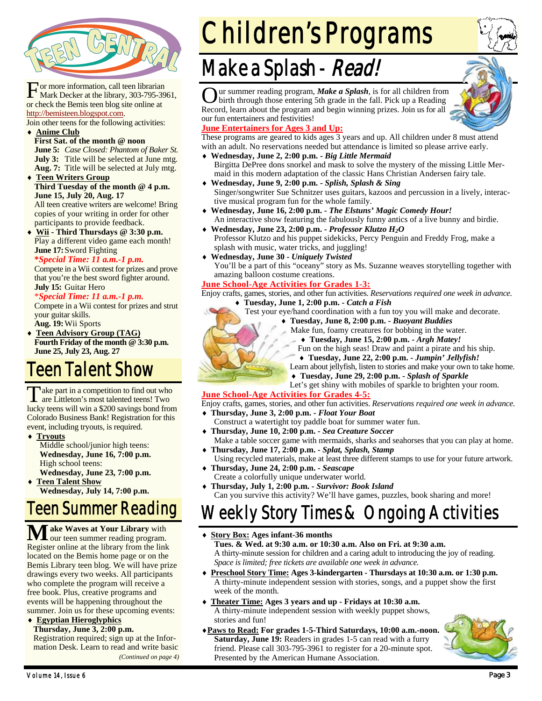

or more information, call teen librarian Mark Decker at the library, 303-795-3961, or check the Bemis teen blog site online at http://bemisteen.blogspot.com.

Join other teens for the following activities:

- **Anime Club First Sat. of the month @ noon June 5:** *Case Closed: Phantom of Baker St.*  **July 3:** Title will be selected at June mtg. **Aug. 7:** Title will be selected at July mtg.
- **Teen Writers Group Third Tuesday of the month @ 4 p.m. June 15, July 20, Aug. 17**

All teen creative writers are welcome! Bring copies of your writing in order for other participants to provide feedback.

Wii - Third Thursdays @ 3:30 p.m. Play a different video game each month! **June 17:** Sword Fighting

#### **\****Special Time: 11 a.m.-1 p.m.*

Compete in a Wii contest for prizes and prove that you're the best sword fighter around. **July 15:** Guitar Hero

#### \**Special Time: 11 a.m.-1 p.m.*

Compete in a Wii contest for prizes and strut your guitar skills. **Aug. 19:** Wii Sports

♦ **Teen Advisory Group (TAG) Fourth Friday of the month @ 3:30 p.m. June 25, July 23, Aug. 27** 

## Teen Talent Show

Take part in a competition to find out who<br>are Littleton's most talented teens! Two lucky teens will win a \$200 savings bond from Colorado Business Bank! Registration for this event, including tryouts, is required.

- ♦ **Tryouts**
	- Middle school/junior high teens: **Wednesday, June 16, 7:00 p.m.**  High school teens: **Wednesday, June 23, 7:00 p.m.**
- **Teen Talent Show Wednesday, July 14, 7:00 p.m.**

## Teen Summer Reading

**M** ake Waves at Your Library with our teen summer reading program. Register online at the library from the link located on the Bemis home page or on the Bemis Library teen blog. We will have prize drawings every two weeks. All participants who complete the program will receive a free book. Plus, creative programs and events will be happening throughout the summer. Join us for these upcoming events:

## ♦ **Egyptian Hieroglyphics**

**Thursday, June 3, 2:00 p.m.**  Registration required; sign up at the Information Desk. Learn to read and write basic *(Continued on page 4)* 

# Children's Programs

## Make a Splash - Read!

ur summer reading program, *Make a Splash*, is for all children from birth through those entering 5th grade in the fall. Pick up a Reading Record, learn about the program and begin winning prizes. Join us for all our fun entertainers and festivities!

#### **June Entertainers for Ages 3 and Up:**

These programs are geared to kids ages 3 years and up. All children under 8 must attend with an adult. No reservations needed but attendance is limited so please arrive early.

- ♦ **Wednesday, June 2, 2:00 p.m.** *Big Little Mermaid* Birgitta DePree dons snorkel and mask to solve the mystery of the missing Little Mermaid in this modern adaptation of the classic Hans Christian Andersen fairy tale.
- ♦ **Wednesday, June 9, 2:00 p.m.** *Splish, Splash & Sing* Singer/songwriter Sue Schnitzer uses guitars, kazoos and percussion in a lively, interactive musical program fun for the whole family.
- ♦ **Wednesday, June 16, 2:00 p.m.** *The Elstuns' Magic Comedy Hour!* An interactive show featuring the fabulously funny antics of a live bunny and birdie.
- ♦ **Wednesday, June 23, 2:00 p.m.** *Professor Klutzo H2O* Professor Klutzo and his puppet sidekicks, Percy Penguin and Freddy Frog, make a splash with music, water tricks, and juggling!
- ♦ **Wednesday, June 30** *Uniquely Twisted*
	- You'll be a part of this "oceany" story as Ms. Suzanne weaves storytelling together with amazing balloon costume creations.

#### **June School-Age Activities for Grades 1-3:**

Enjoy crafts, games, stories, and other fun activities. *Reservations required one week in advance.* ♦ **Tuesday, June 1, 2:00 p.m. -** *Catch a Fish* 

Test your eye/hand coordination with a fun toy you will make and decorate.

- ♦ **Tuesday, June 8, 2:00 p.m.** *Buoyant Buddies*
	- Make fun, foamy creatures for bobbing in the water.
	- ♦ **Tuesday, June 15, 2:00 p.m.** *Argh Matey!*
	- Fun on the high seas! Draw and paint a pirate and his ship.
	- ♦ **Tuesday, June 22, 2:00 p.m.** *Jumpin' Jellyfish!*
	- Learn about jellyfish, listen to stories and make your own to take home.
- ♦ **Tuesday, June 29, 2:00 p.m.** *Splash of Sparkle*
	- Let's get shiny with mobiles of sparkle to brighten your room.

### **June School-Age Activities for Grades 4-5:**

- Enjoy crafts, games, stories, and other fun activities. *Reservations required one week in advance.* ♦ **Thursday, June 3, 2:00 p.m. -** *Float Your Boat*
- Construct a watertight toy paddle boat for summer water fun.
- ♦ **Thursday, June 10, 2:00 p.m.** *Sea Creature Soccer*
- Make a table soccer game with mermaids, sharks and seahorses that you can play at home. ♦ **Thursday, June 17, 2:00 p.m. -** *Splat, Splash, Stamp*
- Using recycled materials, make at least three different stamps to use for your future artwork. ♦ **Thursday, June 24, 2:00 p.m. -** *Seascape*
- Create a colorfully unique underwater world.
- ♦ **Thursday, July 1, 2:00 p.m.** *Survivor: Book Island* Can you survive this activity? We'll have games, puzzles, book sharing and more!

## Weekly Story Times & Ongoing Activities

- **Story Box: Ages infant-36 months** 
	- **Tues. & Wed. at 9:30 a.m. or 10:30 a.m. Also on Fri. at 9:30 a.m.**  A thirty-minute session for children and a caring adult to introducing the joy of reading. *Space is limited; free tickets are available one week in advance.*
- ♦ **Preschool Story Time: Ages 3-kindergarten Thursdays at 10:30 a.m. or 1:30 p.m.**  A thirty-minute independent session with stories, songs, and a puppet show the first week of the month.
- ♦ **Theater Time: Ages 3 years and up Fridays at 10:30 a.m.** A thirty-minute independent session with weekly puppet shows, stories and fun!
- ♦**Paws to Read: For grades 1-5-Third Saturdays, 10:00 a.m.-noon. Saturday, June 19:** Readers in grades 1-5 can read with a furry friend. Please call 303-795-3961 to register for a 20-minute spot. Presented by the American Humane Association.